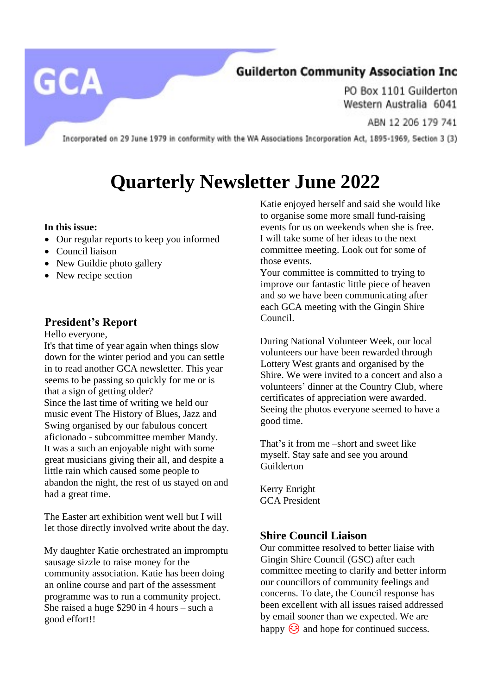# **GCA**

### **Guilderton Community Association Inc**

PO Box 1101 Guilderton Western Australia 6041

ABN 12 206 179 741

Incorporated on 29 June 1979 in conformity with the WA Associations Incorporation Act, 1895-1969, Section 3 (3)

## **Quarterly Newsletter June 2022**

#### **In this issue:**

- Our regular reports to keep you informed
- Council liaison
- New Guildie photo gallery
- New recipe section

#### **President's Report**

Hello everyone,

It's that time of year again when things slow down for the winter period and you can settle in to read another GCA newsletter. This year seems to be passing so quickly for me or is that a sign of getting older? Since the last time of writing we held our music event The History of Blues, Jazz and Swing organised by our fabulous concert aficionado - subcommittee member Mandy. It was a such an enjoyable night with some great musicians giving their all, and despite a little rain which caused some people to abandon the night, the rest of us stayed on and had a great time.

The Easter art exhibition went well but I will let those directly involved write about the day.

My daughter Katie orchestrated an impromptu sausage sizzle to raise money for the community association. Katie has been doing an online course and part of the assessment programme was to run a community project. She raised a huge \$290 in 4 hours – such a good effort!!

Katie enjoyed herself and said she would like to organise some more small fund-raising events for us on weekends when she is free. I will take some of her ideas to the next committee meeting. Look out for some of those events.

Your committee is committed to trying to improve our fantastic little piece of heaven and so we have been communicating after each GCA meeting with the Gingin Shire Council.

During National Volunteer Week, our local volunteers our have been rewarded through Lottery West grants and organised by the Shire. We were invited to a concert and also a volunteers' dinner at the Country Club, where certificates of appreciation were awarded. Seeing the photos everyone seemed to have a good time.

That's it from me –short and sweet like myself. Stay safe and see you around Guilderton

Kerry Enright GCA President

#### **Shire Council Liaison**

Our committee resolved to better liaise with Gingin Shire Council (GSC) after each committee meeting to clarify and better inform our councillors of community feelings and concerns. To date, the Council response has been excellent with all issues raised addressed by email sooner than we expected. We are happy  $\odot$  and hope for continued success.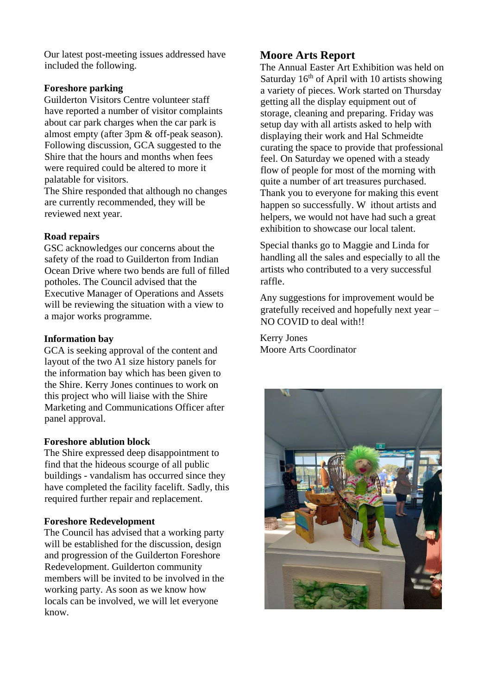Our latest post-meeting issues addressed have included the following.

#### **Foreshore parking**

Guilderton Visitors Centre volunteer staff have reported a number of visitor complaints about car park charges when the car park is almost empty (after 3pm & off-peak season). Following discussion, GCA suggested to the Shire that the hours and months when fees were required could be altered to more it palatable for visitors.

The Shire responded that although no changes are currently recommended, they will be reviewed next year.

#### **Road repairs**

GSC acknowledges our concerns about the safety of the road to Guilderton from Indian Ocean Drive where two bends are full of filled potholes. The Council advised that the Executive Manager of Operations and Assets will be reviewing the situation with a view to a major works programme.

#### **Information bay**

GCA is seeking approval of the content and layout of the two A1 size history panels for the information bay which has been given to the Shire. Kerry Jones continues to work on this project who will liaise with the Shire Marketing and Communications Officer after panel approval.

#### **Foreshore ablution block**

The Shire expressed deep disappointment to find that the hideous scourge of all public buildings - vandalism has occurred since they have completed the facility facelift. Sadly, this required further repair and replacement.

#### **Foreshore Redevelopment**

The Council has advised that a working party will be established for the discussion, design and progression of the Guilderton Foreshore Redevelopment. Guilderton community members will be invited to be involved in the working party. As soon as we know how locals can be involved, we will let everyone know.

#### **Moore Arts Report**

The Annual Easter Art Exhibition was held on Saturday  $16<sup>th</sup>$  of April with 10 artists showing a variety of pieces. Work started on Thursday getting all the display equipment out of storage, cleaning and preparing. Friday was setup day with all artists asked to help with displaying their work and Hal Schmeidte curating the space to provide that professional feel. On Saturday we opened with a steady flow of people for most of the morning with quite a number of art treasures purchased. Thank you to everyone for making this event happen so successfully. W ithout artists and helpers, we would not have had such a great exhibition to showcase our local talent.

Special thanks go to Maggie and Linda for handling all the sales and especially to all the artists who contributed to a very successful raffle.

Any suggestions for improvement would be gratefully received and hopefully next year – NO COVID to deal with!!

Kerry Jones Moore Arts Coordinator

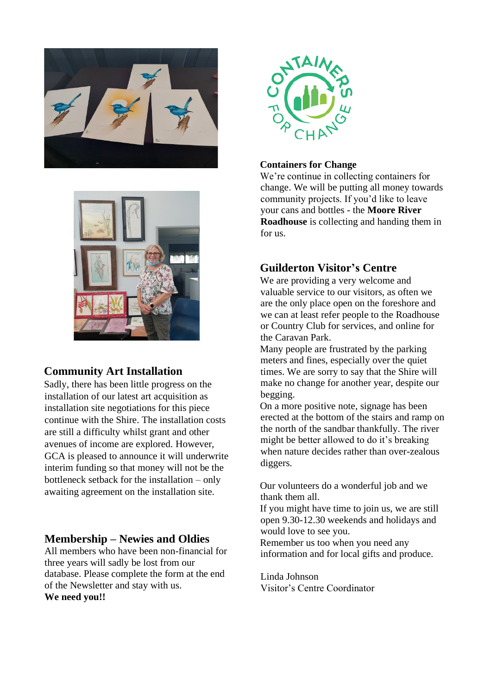



#### **Community Art Installation**

Sadly, there has been little progress on the installation of our latest art acquisition as installation site negotiations for this piece continue with the Shire. The installation costs are still a difficulty whilst grant and other avenues of income are explored. However, GCA is pleased to announce it will underwrite interim funding so that money will not be the bottleneck setback for the installation – only awaiting agreement on the installation site.

#### **Membership – Newies and Oldies**

All members who have been non-financial for three years will sadly be lost from our database. Please complete the form at the end of the Newsletter and stay with us. **We need you!!**



#### **Containers for Change**

We're continue in collecting containers for change. We will be putting all money towards community projects. If you'd like to leave your cans and bottles - the **Moore River Roadhouse** is collecting and handing them in for us.

#### **Guilderton Visitor's Centre**

We are providing a very welcome and valuable service to our visitors, as often we are the only place open on the foreshore and we can at least refer people to the Roadhouse or Country Club for services, and online for the Caravan Park.

Many people are frustrated by the parking meters and fines, especially over the quiet times. We are sorry to say that the Shire will make no change for another year, despite our begging.

On a more positive note, signage has been erected at the bottom of the stairs and ramp on the north of the sandbar thankfully. The river might be better allowed to do it's breaking when nature decides rather than over-zealous diggers.

Our volunteers do a wonderful job and we thank them all.

If you might have time to join us, we are still open 9.30-12.30 weekends and holidays and would love to see you.

Remember us too when you need any information and for local gifts and produce.

Linda Johnson Visitor's Centre Coordinator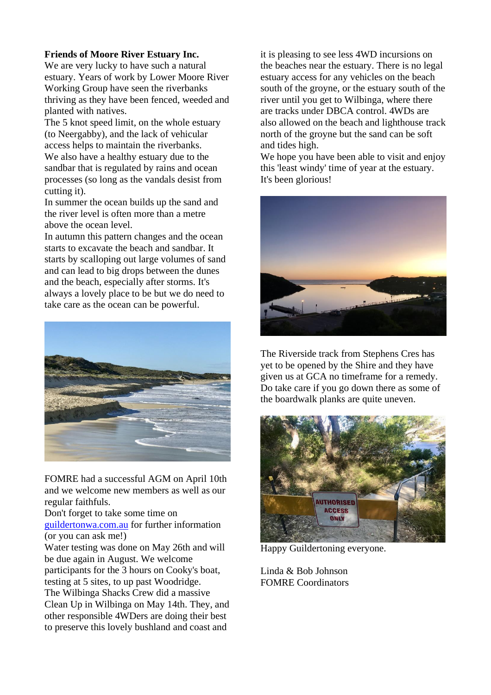#### **Friends of Moore River Estuary Inc.**

We are very lucky to have such a natural estuary. Years of work by Lower Moore River Working Group have seen the riverbanks thriving as they have been fenced, weeded and planted with natives.

The 5 knot speed limit, on the whole estuary (to Neergabby), and the lack of vehicular access helps to maintain the riverbanks. We also have a healthy estuary due to the sandbar that is regulated by rains and ocean processes (so long as the vandals desist from cutting it).

In summer the ocean builds up the sand and the river level is often more than a metre above the ocean level.

In autumn this pattern changes and the ocean starts to excavate the beach and sandbar. It starts by scalloping out large volumes of sand and can lead to big drops between the dunes and the beach, especially after storms. It's always a lovely place to be but we do need to take care as the ocean can be powerful.



FOMRE had a successful AGM on April 10th and we welcome new members as well as our regular faithfuls.

Don't forget to take some time on [guildertonwa.com.au](http://guildertonwa.com.au/) for further information (or you can ask me!)

Water testing was done on May 26th and will be due again in August. We welcome participants for the 3 hours on Cooky's boat, testing at 5 sites, to up past Woodridge.

The Wilbinga Shacks Crew did a massive Clean Up in Wilbinga on May 14th. They, and other responsible 4WDers are doing their best to preserve this lovely bushland and coast and

it is pleasing to see less 4WD incursions on the beaches near the estuary. There is no legal estuary access for any vehicles on the beach south of the groyne, or the estuary south of the river until you get to Wilbinga, where there are tracks under DBCA control. 4WDs are also allowed on the beach and lighthouse track north of the groyne but the sand can be soft and tides high.

We hope you have been able to visit and enjoy this 'least windy' time of year at the estuary. It's been glorious!



The Riverside track from Stephens Cres has yet to be opened by the Shire and they have given us at GCA no timeframe for a remedy. Do take care if you go down there as some of the boardwalk planks are quite uneven.



Happy Guildertoning everyone.

Linda & Bob Johnson FOMRE Coordinators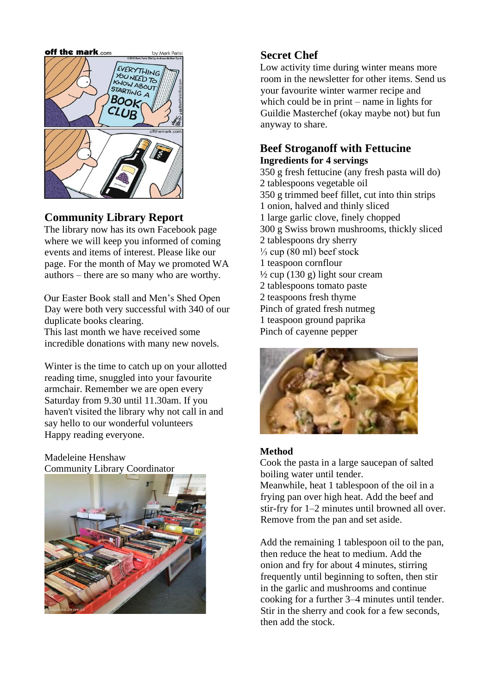

#### **Community Library Report**

The library now has its own Facebook page where we will keep you informed of coming events and items of interest. Please like our page. For the month of May we promoted WA authors – there are so many who are worthy.

Our Easter Book stall and Men's Shed Open Day were both very successful with 340 of our duplicate books clearing.

This last month we have received some incredible donations with many new novels.

Winter is the time to catch up on your allotted reading time, snuggled into your favourite armchair. Remember we are open every Saturday from 9.30 until 11.30am. If you haven't visited the library why not call in and say hello to our wonderful volunteers Happy reading everyone.

Madeleine Henshaw Community Library Coordinator



#### **Secret Chef**

Low activity time during winter means more room in the newsletter for other items. Send us your favourite winter warmer recipe and which could be in print – name in lights for Guildie Masterchef (okay maybe not) but fun anyway to share.

#### **Beef Stroganoff with Fettucine Ingredients for 4 servings**

350 g fresh fettucine (any fresh pasta will do) 2 tablespoons vegetable oil 350 g trimmed beef fillet, cut into thin strips 1 onion, halved and thinly sliced 1 large garlic clove, finely chopped 300 g Swiss brown mushrooms, thickly sliced 2 tablespoons dry sherry  $\frac{1}{3}$  cup (80 ml) beef stock 1 teaspoon cornflour  $\frac{1}{2}$  cup (130 g) light sour cream 2 tablespoons tomato paste 2 teaspoons fresh thyme Pinch of grated fresh nutmeg 1 teaspoon ground paprika Pinch of cayenne pepper



#### **Method**

Cook the pasta in a large saucepan of salted boiling water until tender. Meanwhile, heat 1 tablespoon of the oil in a frying pan over high heat. Add the beef and stir-fry for 1–2 minutes until browned all over. Remove from the pan and set aside.

Add the remaining 1 tablespoon oil to the pan, then reduce the heat to medium. Add the onion and fry for about 4 minutes, stirring frequently until beginning to soften, then stir in the garlic and mushrooms and continue cooking for a further 3–4 minutes until tender. Stir in the sherry and cook for a few seconds, then add the stock.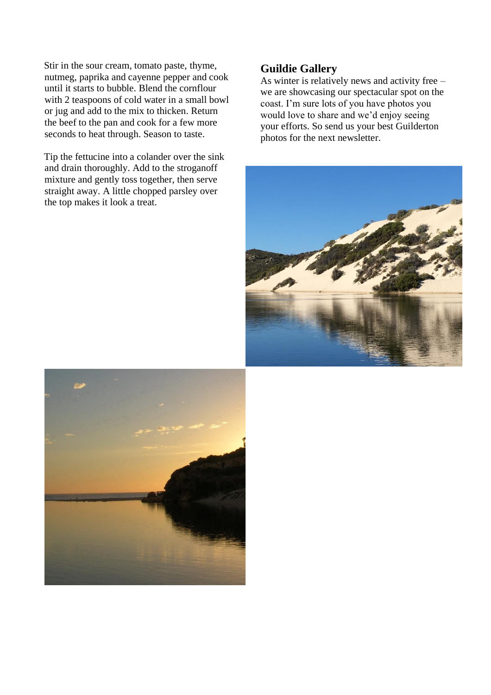Stir in the sour cream, tomato paste, thyme, nutmeg, paprika and cayenne pepper and cook until it starts to bubble. Blend the cornflour with 2 teaspoons of cold water in a small bowl or jug and add to the mix to thicken. Return the beef to the pan and cook for a few more seconds to heat through. Season to taste.

Tip the fettucine into a colander over the sink and drain thoroughly. Add to the stroganoff mixture and gently toss together, then serve straight away. A little chopped parsley over the top makes it look a treat.

#### **Guildie Gallery**

As winter is relatively news and activity free – we are showcasing our spectacular spot on the coast. I'm sure lots of you have photos you would love to share and we'd enjoy seeing your efforts. So send us your best Guilderton photos for the next newsletter.